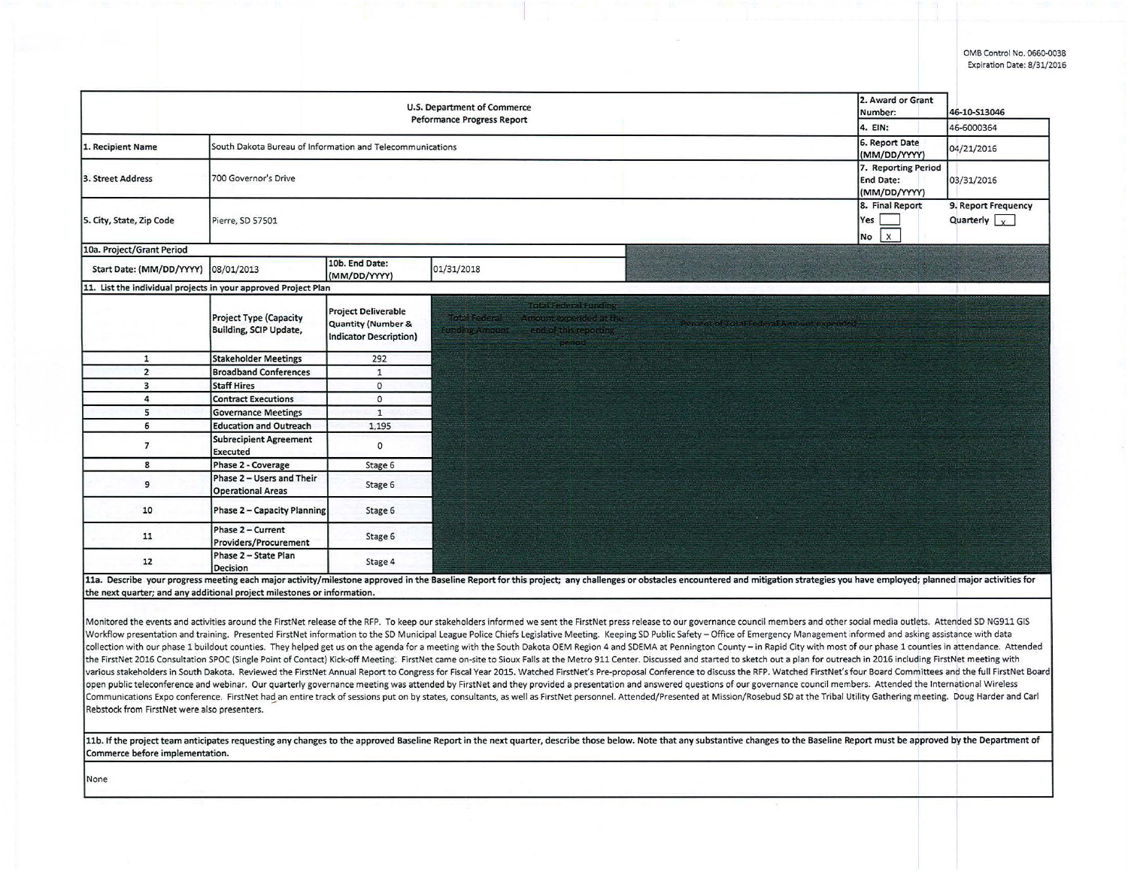OMS Control No. 0660·0038 Expiration Date: 8/31/2016

|                           | U.S. Department of Commerce<br>Peformance Progress Report      |                                                                                              | 2. Award or Grant<br>Number:                                                                                                                                                     | 46-10-S13046                                     |                                             |
|---------------------------|----------------------------------------------------------------|----------------------------------------------------------------------------------------------|----------------------------------------------------------------------------------------------------------------------------------------------------------------------------------|--------------------------------------------------|---------------------------------------------|
|                           |                                                                |                                                                                              |                                                                                                                                                                                  | 4. EIN:                                          | 46-6000364                                  |
| . Recipient Name          | South Dakota Bureau of Information and Telecommunications      |                                                                                              |                                                                                                                                                                                  | 6. Report Date<br>(MM/DD/YYYY)                   | 04/21/2016                                  |
| 3. Street Address         | 700 Governor's Drive                                           |                                                                                              |                                                                                                                                                                                  | 7. Reporting Period<br>End Date:<br>(MM/DD/YYYY) | 03/31/2016                                  |
| 5. City, State, Zip Code  | Pierre, SD 57501                                               |                                                                                              |                                                                                                                                                                                  | 8. Final Report<br>Yes<br>$\mathsf{X}$<br>No     | 9. Report Frequency<br>Quarterly $\sqrt{x}$ |
| 10a. Project/Grant Period |                                                                |                                                                                              |                                                                                                                                                                                  |                                                  |                                             |
| Start Date: (MM/DD/YYYY)  | 08/01/2013                                                     | 10b. End Date:<br>(MM/DD/YYYY)                                                               | 01/31/2018                                                                                                                                                                       |                                                  |                                             |
|                           | 11. List the individual projects in your approved Project Plan |                                                                                              |                                                                                                                                                                                  |                                                  |                                             |
|                           | Project Type (Capacity<br>Building, SCIP Update,               | <b>Project Deliverable</b><br><b>Quantity (Number &amp;</b><br><b>Indicator Description)</b> | Treal Seasonal Puriding<br>Tetal Federal - Amount expended at the<br>Percent of Total Federal Amount expended.<br>FUNCTING ASSOCIATES<br>end of this reporting<br><b>Devirod</b> |                                                  |                                             |
| $\mathbf{1}$              | <b>Stakeholder Meetings</b>                                    | 292                                                                                          |                                                                                                                                                                                  |                                                  |                                             |
| $\overline{2}$            | <b>Broadband Conferences</b>                                   | $\mathbf{1}$                                                                                 |                                                                                                                                                                                  |                                                  |                                             |
| 3                         | Staff Hires                                                    | $\mathbf{0}$                                                                                 |                                                                                                                                                                                  |                                                  |                                             |
| 4                         | <b>Contract Executions</b>                                     | $\circ$                                                                                      |                                                                                                                                                                                  |                                                  |                                             |
| 5                         | <b>Governance Meetings</b>                                     | $\mathbf{1}$                                                                                 |                                                                                                                                                                                  |                                                  |                                             |
| 6                         | <b>Education and Outreach</b>                                  | 1,195                                                                                        |                                                                                                                                                                                  |                                                  |                                             |
| $\overline{7}$            | Subrecipient Agreement<br>Executed                             | $\circ$                                                                                      |                                                                                                                                                                                  |                                                  |                                             |
| 8                         | Phase 2 - Coverage                                             | Stage 6                                                                                      |                                                                                                                                                                                  |                                                  |                                             |
| 9                         | Phase 2 - Users and Their<br><b>Operational Areas</b>          | Stage 6                                                                                      |                                                                                                                                                                                  |                                                  |                                             |
| 10                        | <b>Phase 2 - Capacity Planning</b>                             | Stage 6                                                                                      |                                                                                                                                                                                  |                                                  |                                             |
| 11                        | Phase 2 - Current<br>Providers/Procurement                     | Stage 6                                                                                      |                                                                                                                                                                                  |                                                  |                                             |
|                           | Phase 2 - State Plan                                           |                                                                                              |                                                                                                                                                                                  |                                                  |                                             |

Monitored the events and activities around the FirstNet release of the RFP. To keep our stakeholders informed we sent the FirstNet press release to our governance council members and other social media outlets. Attended SD Workflow presentation and training. Presented FirstNet information to the SD Municipal League Police Chiefs Legislative Meeting. Keeping SD Public Safety - Office of Emergency Management informed and asking assistance with collection with our phase 1 buildout counties. They helped get us on the agenda for a meeting with the South Dakota OEM Region 4 and SDEMA at Pennington County - in Rapid City with most of our phase 1 counties in attendanc the FirstNet 2016 Consultation SPOC (Single Point of Contact) Kick-off Meeting. FirstNet came on-site to Sioux Falls at the Metro 911 Center. Discussed and started to sketch out a plan for outreach in 2016 including FirstN various stakeholders in South Dakota. Reviewed the FirstNet Annual Report to Congress for Fiscal Year 2015. Watched FirstNet's Pre-proposal Conference to discuss the RFP. Watched FirstNet's four Board Committees and the fu open public teleconference and webinar. Our quarterly governance meeting was attended by FirstNet and they provided a presentation and answered questions of our governance council members. Attended the International Wirele Communications Expo conference. FirstNet had an entire track of sessions put on by states, consultants, as well as FirstNet personnel. Attended/Presented at Mission/Rosebud SD at the Tribal Utility Gathering meeting. Doug Rebstock from FirstNet were also presenters.

11b. If the project team anticipates requesting any changes to the approved Baseline Report in the next quarter, describe those below. Note that any substantive changes to the Baseline Report must be approved by the Depart Commerce before implementation.

None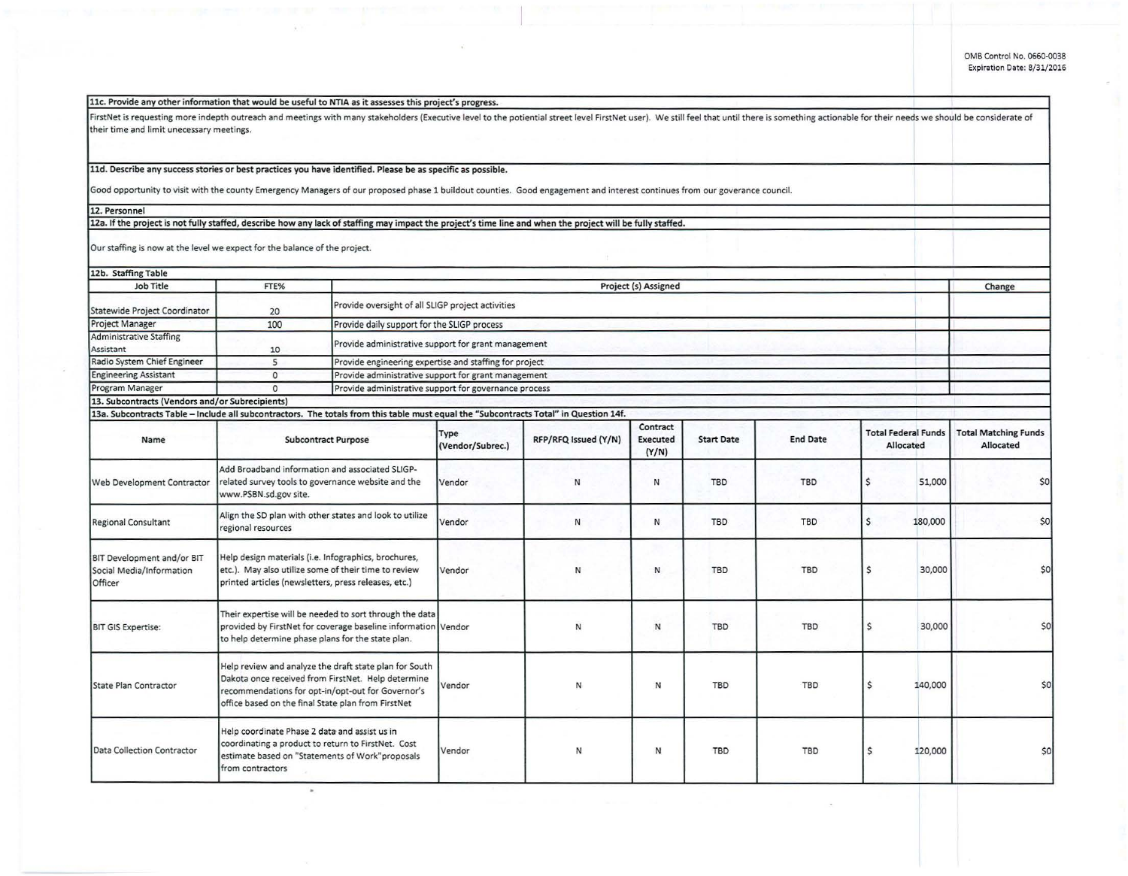## llc. Provide any other information that would be useful to NTIA as it assesses this project's progress.

FirstNet is requesting more indepth outreach and meetings with many stakeholders (Executive level to the potiential street level firstNet user). We still feel that until there is something actionable for their needs we sho their time and limit unecessary meetings.

## 11d. Describe any success stories or best practices you have identified. Please be as specific as possible.

Good opportunity to visit with the county Emergency Managers of our proposed phase 1 buildout counties. Good engagement and interest continues from our goverance council.<br>12. Personnel

## 12. Personnel<br>12a. If the project is not fully staffed, describe how any lack of staffing may impact the project's time line and when the project will be fully staffed.

Our staffing is now at the level we expect for the balance of the project.

| 12b. Staffing Table                                                                                                                   |                                                                                                                                                                                                                         |                                                     |                                                        |                      |                                      |                   |                 |              |                                         |                                          |  |
|---------------------------------------------------------------------------------------------------------------------------------------|-------------------------------------------------------------------------------------------------------------------------------------------------------------------------------------------------------------------------|-----------------------------------------------------|--------------------------------------------------------|----------------------|--------------------------------------|-------------------|-----------------|--------------|-----------------------------------------|------------------------------------------|--|
| <b>Job Title</b>                                                                                                                      | FTE%                                                                                                                                                                                                                    |                                                     | Project (s) Assigned                                   |                      |                                      |                   |                 |              |                                         | Change                                   |  |
| Statewide Project Coordinator                                                                                                         | 20                                                                                                                                                                                                                      |                                                     | Provide oversight of all SLIGP project activities      |                      |                                      |                   |                 |              |                                         |                                          |  |
| Project Manager                                                                                                                       | 100                                                                                                                                                                                                                     |                                                     | Provide daily support for the SLIGP process            |                      |                                      |                   |                 |              |                                         |                                          |  |
| <b>Administrative Staffing</b>                                                                                                        |                                                                                                                                                                                                                         |                                                     |                                                        |                      |                                      |                   |                 |              |                                         |                                          |  |
| Assistant                                                                                                                             | 10                                                                                                                                                                                                                      |                                                     | Provide administrative support for grant management    |                      |                                      |                   |                 |              |                                         |                                          |  |
| Radio System Chief Engineer                                                                                                           | 5                                                                                                                                                                                                                       |                                                     | Provide engineering expertise and staffing for project |                      |                                      |                   |                 |              |                                         |                                          |  |
| <b>Engineering Assistant</b>                                                                                                          | $\circ$                                                                                                                                                                                                                 | Provide administrative support for grant management |                                                        |                      |                                      |                   |                 |              |                                         |                                          |  |
| Program Manager                                                                                                                       | $\Omega$                                                                                                                                                                                                                |                                                     | Provide administrative support for governance process  |                      |                                      |                   |                 |              |                                         |                                          |  |
| 13. Subcontracts (Vendors and/or Subrecipients)                                                                                       |                                                                                                                                                                                                                         |                                                     |                                                        |                      |                                      |                   |                 |              |                                         |                                          |  |
| 13a. Subcontracts Table - Include all subcontractors. The totals from this table must equal the "Subcontracts Total" in Question 14f. |                                                                                                                                                                                                                         |                                                     |                                                        |                      |                                      |                   |                 |              |                                         |                                          |  |
| Name                                                                                                                                  | <b>Subcontract Purpose</b>                                                                                                                                                                                              |                                                     | Type<br>(Vendor/Subrec.)                               | RFP/RFQ Issued (Y/N) | Contract<br><b>Executed</b><br>(Y/N) | <b>Start Date</b> | <b>End Date</b> |              | <b>Total Federal Funds</b><br>Allocated | <b>Total Matching Funds</b><br>Allocated |  |
| Web Development Contractor                                                                                                            | Add Broadband information and associated SLIGP-<br>related survey tools to governance website and the<br>www.PSBN.sd.gov site.                                                                                          |                                                     | Vendor                                                 | $\mathsf{N}$         | N                                    | <b>TBD</b>        | <b>TBD</b>      | \$           | 51,000                                  | \$0                                      |  |
| <b>Regional Consultant</b>                                                                                                            | Align the SD plan with other states and look to utilize<br>regional resources                                                                                                                                           |                                                     | Vendor                                                 | N                    | И                                    | TBD               | <b>TBD</b>      | $\mathsf{S}$ | 180,000                                 | \$0                                      |  |
| BIT Development and/or BIT<br>Social Media/Information<br>Officer                                                                     | Help design materials (i.e. Infographics, brochures,<br>etc.). May also utilize some of their time to review<br>printed articles (newsletters, press releases, etc.)                                                    |                                                     | Vendor                                                 | N                    | N                                    | TBD               | <b>TBD</b>      | Ś            | 30,000                                  | \$0                                      |  |
| <b>BIT GIS Expertise:</b>                                                                                                             | Their expertise will be needed to sort through the data<br>provided by FirstNet for coverage baseline information Vendor<br>to help determine phase plans for the state plan.                                           |                                                     |                                                        | N                    | N                                    | TBD               | <b>TBD</b>      | Ś            | 30,000                                  | SO <sub>2</sub>                          |  |
| State Plan Contractor                                                                                                                 | Help review and analyze the draft state plan for South<br>Dakota once received from FirstNet. Help determine<br>recommendations for opt-in/opt-out for Governor's<br>office based on the final State plan from FirstNet |                                                     | Vendor                                                 | N                    | N                                    | <b>TBD</b>        | <b>TBD</b>      | \$           | 140,000                                 | \$0                                      |  |
| Data Collection Contractor                                                                                                            | Help coordinate Phase 2 data and assist us in<br>coordinating a product to return to FirstNet. Cost<br>estimate based on "Statements of Work"proposals<br>from contractors                                              |                                                     | Vendor                                                 | Ν                    | N                                    | <b>TBD</b>        | <b>TBD</b>      | \$           | 120,000                                 | \$0                                      |  |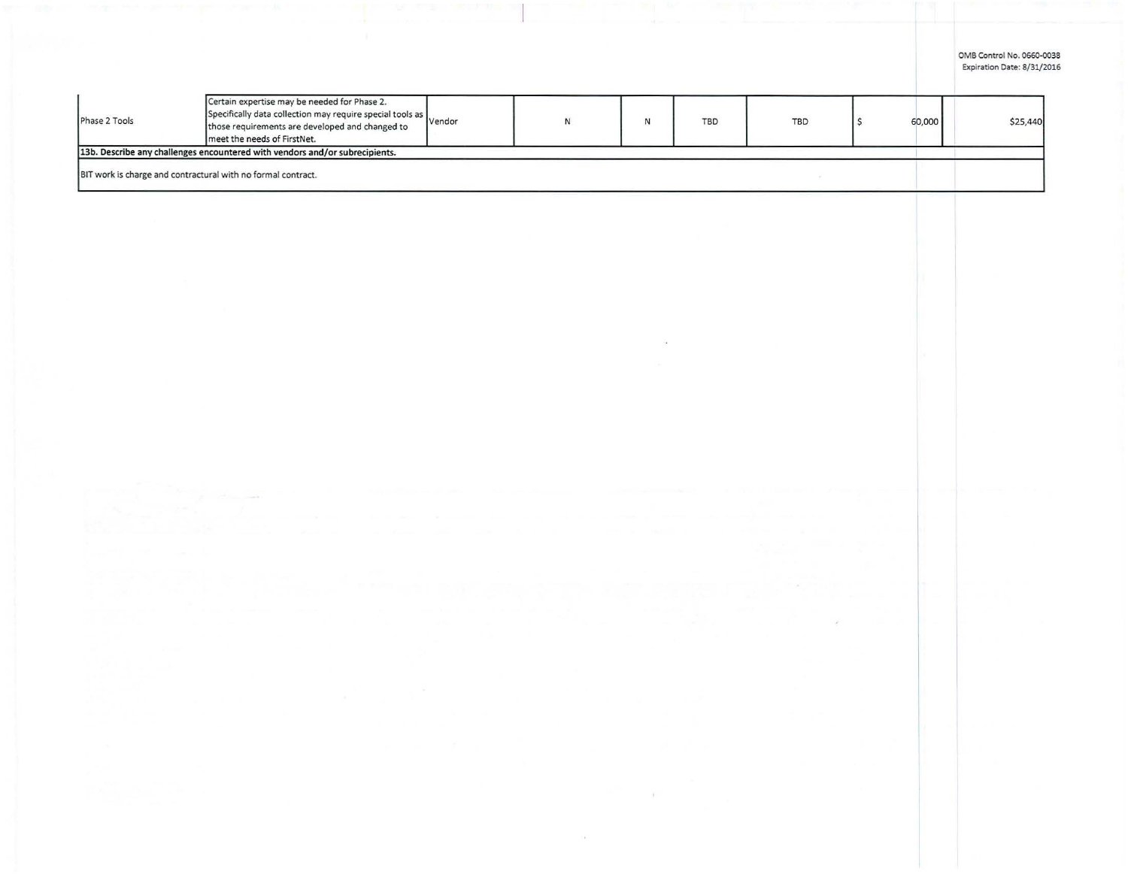OMB Control No. 0660-0038 Expiration Date: 8/31/2016

| Phase 2 Tools                                                | Certain expertise may be needed for Phase 2.<br>Specifically data collection may require special tools as vendor<br>those requirements are developed and changed to<br>meet the needs of FirstNet. |  | <b>TBD</b> | <b>TBD</b> | 60,000 | \$25,440 |
|--------------------------------------------------------------|----------------------------------------------------------------------------------------------------------------------------------------------------------------------------------------------------|--|------------|------------|--------|----------|
|                                                              | 13b. Describe any challenges encountered with vendors and/or subrecipients.                                                                                                                        |  |            |            |        |          |
| BIT work is charge and contractural with no formal contract. |                                                                                                                                                                                                    |  |            |            |        |          |

 $\sim$ 

 $\eta$ 

 $\mathcal{G}_{\mathbf{R}}$  .

 $\mathcal{S}$